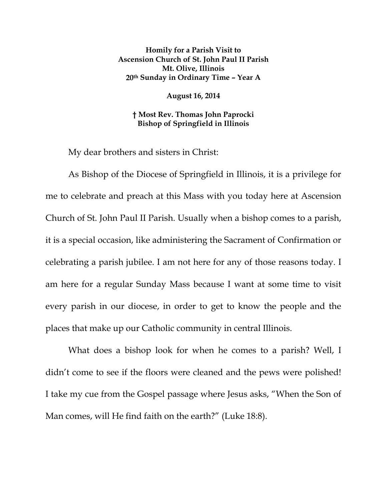**Homily for a Parish Visit to Ascension Church of St. John Paul II Parish Mt. Olive, Illinois 20th Sunday in Ordinary Time – Year A** 

**August 16, 2014** 

**† Most Rev. Thomas John Paprocki Bishop of Springfield in Illinois** 

My dear brothers and sisters in Christ:

As Bishop of the Diocese of Springfield in Illinois, it is a privilege for me to celebrate and preach at this Mass with you today here at Ascension Church of St. John Paul II Parish. Usually when a bishop comes to a parish, it is a special occasion, like administering the Sacrament of Confirmation or celebrating a parish jubilee. I am not here for any of those reasons today. I am here for a regular Sunday Mass because I want at some time to visit every parish in our diocese, in order to get to know the people and the places that make up our Catholic community in central Illinois.

What does a bishop look for when he comes to a parish? Well, I didn't come to see if the floors were cleaned and the pews were polished! I take my cue from the Gospel passage where Jesus asks, "When the Son of Man comes, will He find faith on the earth?" (Luke 18:8).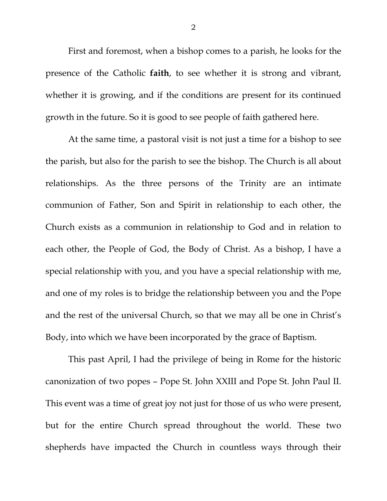First and foremost, when a bishop comes to a parish, he looks for the presence of the Catholic **faith**, to see whether it is strong and vibrant, whether it is growing, and if the conditions are present for its continued growth in the future. So it is good to see people of faith gathered here.

At the same time, a pastoral visit is not just a time for a bishop to see the parish, but also for the parish to see the bishop. The Church is all about relationships. As the three persons of the Trinity are an intimate communion of Father, Son and Spirit in relationship to each other, the Church exists as a communion in relationship to God and in relation to each other, the People of God, the Body of Christ. As a bishop, I have a special relationship with you, and you have a special relationship with me, and one of my roles is to bridge the relationship between you and the Pope and the rest of the universal Church, so that we may all be one in Christ's Body, into which we have been incorporated by the grace of Baptism.

This past April, I had the privilege of being in Rome for the historic canonization of two popes – Pope St. John XXIII and Pope St. John Paul II. This event was a time of great joy not just for those of us who were present, but for the entire Church spread throughout the world. These two shepherds have impacted the Church in countless ways through their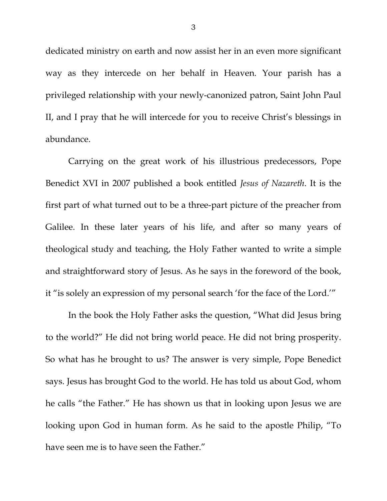dedicated ministry on earth and now assist her in an even more significant way as they intercede on her behalf in Heaven. Your parish has a privileged relationship with your newly-canonized patron, Saint John Paul II, and I pray that he will intercede for you to receive Christ's blessings in abundance.

Carrying on the great work of his illustrious predecessors, Pope Benedict XVI in 2007 published a book entitled *Jesus of Nazareth*. It is the first part of what turned out to be a three-part picture of the preacher from Galilee. In these later years of his life, and after so many years of theological study and teaching, the Holy Father wanted to write a simple and straightforward story of Jesus. As he says in the foreword of the book, it "is solely an expression of my personal search 'for the face of the Lord.'"

In the book the Holy Father asks the question, "What did Jesus bring to the world?" He did not bring world peace. He did not bring prosperity. So what has he brought to us? The answer is very simple, Pope Benedict says. Jesus has brought God to the world. He has told us about God, whom he calls "the Father." He has shown us that in looking upon Jesus we are looking upon God in human form. As he said to the apostle Philip, "To have seen me is to have seen the Father."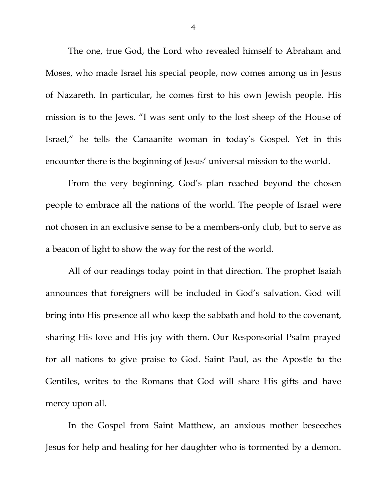The one, true God, the Lord who revealed himself to Abraham and Moses, who made Israel his special people, now comes among us in Jesus of Nazareth. In particular, he comes first to his own Jewish people. His mission is to the Jews. "I was sent only to the lost sheep of the House of Israel," he tells the Canaanite woman in today's Gospel. Yet in this encounter there is the beginning of Jesus' universal mission to the world.

 From the very beginning, God's plan reached beyond the chosen people to embrace all the nations of the world. The people of Israel were not chosen in an exclusive sense to be a members-only club, but to serve as a beacon of light to show the way for the rest of the world.

All of our readings today point in that direction. The prophet Isaiah announces that foreigners will be included in God's salvation. God will bring into His presence all who keep the sabbath and hold to the covenant, sharing His love and His joy with them. Our Responsorial Psalm prayed for all nations to give praise to God. Saint Paul, as the Apostle to the Gentiles, writes to the Romans that God will share His gifts and have mercy upon all.

In the Gospel from Saint Matthew, an anxious mother beseeches Jesus for help and healing for her daughter who is tormented by a demon.

4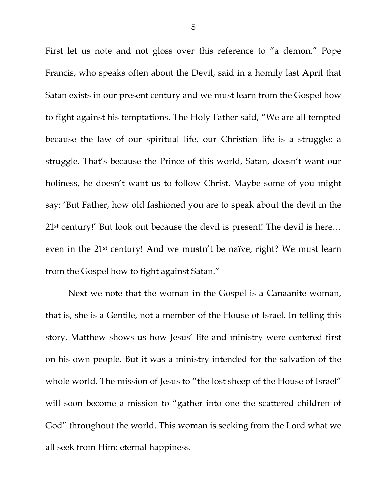First let us note and not gloss over this reference to "a demon." Pope Francis, who speaks often about the Devil, said in a homily last April that Satan exists in our present century and we must learn from the Gospel how to fight against his temptations. The Holy Father said, "We are all tempted because the law of our spiritual life, our Christian life is a struggle: a struggle. That's because the Prince of this world, Satan, doesn't want our holiness, he doesn't want us to follow Christ. Maybe some of you might say: 'But Father, how old fashioned you are to speak about the devil in the 21st century!' But look out because the devil is present! The devil is here… even in the 21st century! And we mustn't be naïve, right? We must learn from the Gospel how to fight against Satan."

 Next we note that the woman in the Gospel is a Canaanite woman, that is, she is a Gentile, not a member of the House of Israel. In telling this story, Matthew shows us how Jesus' life and ministry were centered first on his own people. But it was a ministry intended for the salvation of the whole world. The mission of Jesus to "the lost sheep of the House of Israel" will soon become a mission to "gather into one the scattered children of God" throughout the world. This woman is seeking from the Lord what we all seek from Him: eternal happiness.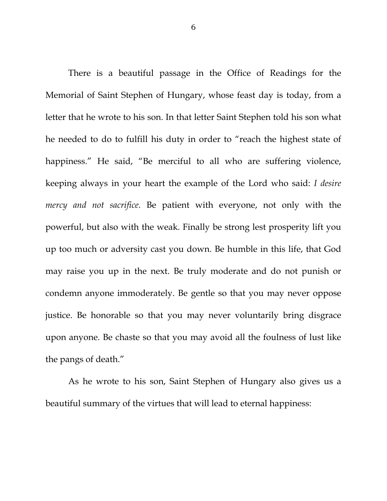There is a beautiful passage in the Office of Readings for the Memorial of Saint Stephen of Hungary, whose feast day is today, from a letter that he wrote to his son. In that letter Saint Stephen told his son what he needed to do to fulfill his duty in order to "reach the highest state of happiness." He said, "Be merciful to all who are suffering violence, keeping always in your heart the example of the Lord who said: *I desire mercy and not sacrifice.* Be patient with everyone, not only with the powerful, but also with the weak. Finally be strong lest prosperity lift you up too much or adversity cast you down. Be humble in this life, that God may raise you up in the next. Be truly moderate and do not punish or condemn anyone immoderately. Be gentle so that you may never oppose justice. Be honorable so that you may never voluntarily bring disgrace upon anyone. Be chaste so that you may avoid all the foulness of lust like the pangs of death."

As he wrote to his son, Saint Stephen of Hungary also gives us a beautiful summary of the virtues that will lead to eternal happiness: